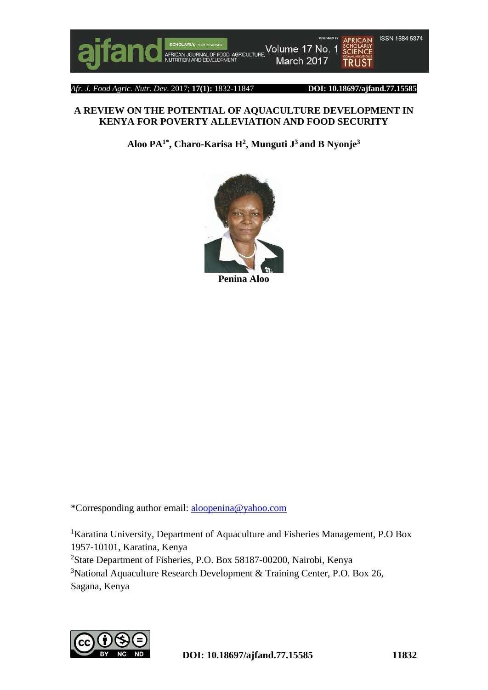

*Afr. J. Food Agric. Nutr. Dev*. 2017; **17(1):** 1832-11847 **DOI: 10.18697/ajfand.77.15585**

## **A REVIEW ON THE POTENTIAL OF AQUACULTURE DEVELOPMENT IN KENYA FOR POVERTY ALLEVIATION AND FOOD SECURITY**

**Aloo PA1\* , Charo-Karisa H<sup>2</sup> , Munguti J <sup>3</sup> and B Nyonje<sup>3</sup>**



\*Corresponding author email: [aloopenina@yahoo.com](mailto:aloopenina@yahoo.com)

<sup>1</sup>Karatina University, Department of Aquaculture and Fisheries Management, P.O Box 1957-10101, Karatina, Kenya <sup>2</sup>State Department of Fisheries, P.O. Box 58187-00200, Nairobi, Kenya  $3$ National Aquaculture Research Development & Training Center, P.O. Box 26, Sagana, Kenya

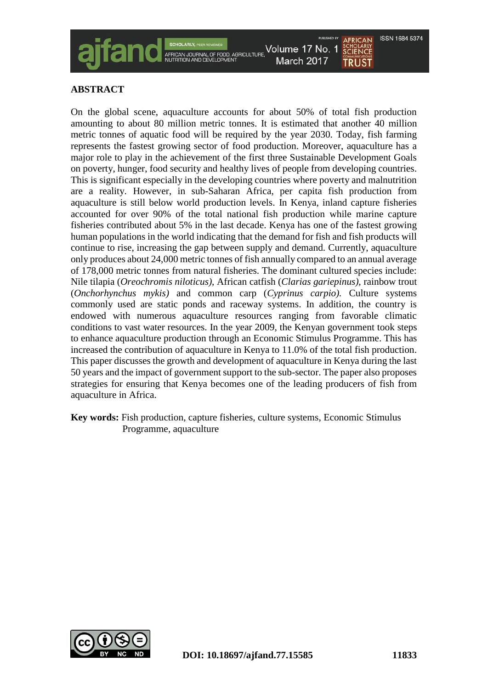



TRUST

**ABSTRACT**

On the global scene, aquaculture accounts for about 50% of total fish production amounting to about 80 million metric tonnes. It is estimated that another 40 million metric tonnes of aquatic food will be required by the year 2030. Today, fish farming represents the fastest growing sector of food production. Moreover, aquaculture has a major role to play in the achievement of the first three Sustainable Development Goals on poverty, hunger, food security and healthy lives of people from developing countries. This is significant especially in the developing countries where poverty and malnutrition are a reality. However, in sub-Saharan Africa, per capita fish production from aquaculture is still below world production levels. In Kenya, inland capture fisheries accounted for over 90% of the total national fish production while marine capture fisheries contributed about 5% in the last decade. Kenya has one of the fastest growing human populations in the world indicating that the demand for fish and fish products will continue to rise, increasing the gap between supply and demand. Currently, aquaculture only produces about 24,000 metric tonnes of fish annually compared to an annual average of 178,000 metric tonnes from natural fisheries. The dominant cultured species include: Nile tilapia (*Oreochromis niloticus)*, African catfish (*Clarias gariepinus),* rainbow trout (*Onchorhynchus mykis)* and common carp (*Cyprinus carpio).* Culture systems commonly used are static ponds and raceway systems. In addition, the country is endowed with numerous aquaculture resources ranging from favorable climatic conditions to vast water resources. In the year 2009, the Kenyan government took steps to enhance aquaculture production through an Economic Stimulus Programme. This has increased the contribution of aquaculture in Kenya to 11.0% of the total fish production. This paper discusses the growth and development of aquaculture in Kenya during the last 50 years and the impact of government support to the sub-sector. The paper also proposes strategies for ensuring that Kenya becomes one of the leading producers of fish from aquaculture in Africa.

**Key words:** Fish production, capture fisheries, culture systems, Economic Stimulus Programme, aquaculture

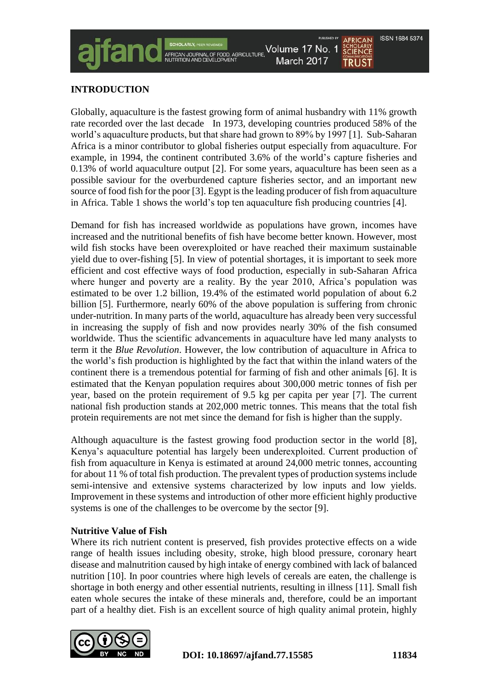TRUST

Volume 17 No. 1 March 2017

## **INTRODUCTION**

Globally, aquaculture is the fastest growing form of animal husbandry with 11% growth rate recorded over the last decade In 1973, developing countries produced 58% of the world's aquaculture products, but that share had grown to 89% by 1997 [1]. Sub-Saharan Africa is a minor contributor to global fisheries output especially from aquaculture. For example, in 1994, the continent contributed 3.6% of the world's capture fisheries and 0.13% of world aquaculture output [2]. For some years, aquaculture has been seen as a possible saviour for the overburdened capture fisheries sector, and an important new source of food fish for the poor [3]. Egypt is the leading producer of fish from aquaculture in Africa. Table 1 shows the world's top ten aquaculture fish producing countries [4].

-OOD, AGRICULTURE

Demand for fish has increased worldwide as populations have grown, incomes have increased and the nutritional benefits of fish have become better known. However, most wild fish stocks have been overexploited or have reached their maximum sustainable yield due to over-fishing [5]. In view of potential shortages, it is important to seek more efficient and cost effective ways of food production, especially in sub-Saharan Africa where hunger and poverty are a reality. By the year 2010, Africa's population was estimated to be over 1.2 billion, 19.4% of the estimated world population of about 6.2 billion [5]. Furthermore, nearly 60% of the above population is suffering from chronic under-nutrition. In many parts of the world, aquaculture has already been very successful in increasing the supply of fish and now provides nearly 30% of the fish consumed worldwide. Thus the scientific advancements in aquaculture have led many analysts to term it the *Blue Revolution*. However, the low contribution of aquaculture in Africa to the world's fish production is highlighted by the fact that within the inland waters of the continent there is a tremendous potential for farming of fish and other animals [6]. It is estimated that the Kenyan population requires about 300,000 metric tonnes of fish per year, based on the protein requirement of 9.5 kg per capita per year [7]. The current national fish production stands at 202,000 metric tonnes. This means that the total fish protein requirements are not met since the demand for fish is higher than the supply.

Although aquaculture is the fastest growing food production sector in the world [8], Kenya's aquaculture potential has largely been underexploited. Current production of fish from aquaculture in Kenya is estimated at around 24,000 metric tonnes, accounting for about 11 % of total fish production. The prevalent types of production systems include semi-intensive and extensive systems characterized by low inputs and low yields. Improvement in these systems and introduction of other more efficient highly productive systems is one of the challenges to be overcome by the sector [9].

#### **Nutritive Value of Fish**

Where its rich nutrient content is preserved, fish provides protective effects on a wide range of health issues including obesity, stroke, high blood pressure, coronary heart disease and malnutrition caused by high intake of energy combined with lack of balanced nutrition [10]. In poor countries where high levels of cereals are eaten, the challenge is shortage in both energy and other essential nutrients, resulting in illness [11]. Small fish eaten whole secures the intake of these minerals and, therefore, could be an important part of a healthy diet. Fish is an excellent source of high quality animal protein, highly

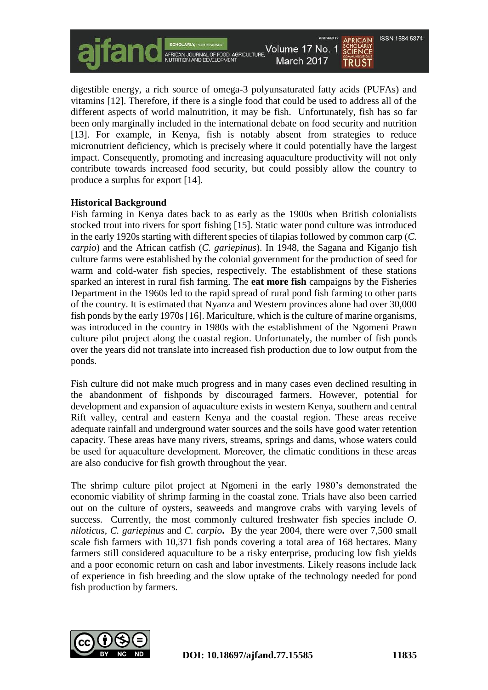ISSN 1684 5374 Volume 17 No. 1 SCHULARLI<br>SCIFNCF FOOD, AGRICULTURE March 2017 TRUST

digestible energy, a rich source of omega-3 polyunsaturated fatty acids (PUFAs) and vitamins [12]. Therefore, if there is a single food that could be used to address all of the different aspects of world malnutrition, it may be fish. Unfortunately, fish has so far been only marginally included in the international debate on food security and nutrition [13]. For example, in Kenya, fish is notably absent from strategies to reduce micronutrient deficiency, which is precisely where it could potentially have the largest impact. Consequently, promoting and increasing aquaculture productivity will not only contribute towards increased food security, but could possibly allow the country to produce a surplus for export [14].

#### **Historical Background**

Fish farming in Kenya dates back to as early as the 1900s when British colonialists stocked trout into rivers for sport fishing [15]. Static water pond culture was introduced in the early 1920s starting with different species of tilapias followed by common carp (*C. carpio*) and the African catfish (*C. gariepinus*). In 1948, the Sagana and Kiganjo fish culture farms were established by the colonial government for the production of seed for warm and cold-water fish species, respectively. The establishment of these stations sparked an interest in rural fish farming. The **eat more fish** campaigns by the Fisheries Department in the 1960s led to the rapid spread of rural pond fish farming to other parts of the country. It is estimated that Nyanza and Western provinces alone had over 30,000 fish ponds by the early 1970s [16]. Mariculture, which is the culture of marine organisms, was introduced in the country in 1980s with the establishment of the Ngomeni Prawn culture pilot project along the coastal region. Unfortunately, the number of fish ponds over the years did not translate into increased fish production due to low output from the ponds.

Fish culture did not make much progress and in many cases even declined resulting in the abandonment of fishponds by discouraged farmers. However, potential for development and expansion of aquaculture exists in western Kenya, southern and central Rift valley, central and eastern Kenya and the coastal region. These areas receive adequate rainfall and underground water sources and the soils have good water retention capacity. These areas have many rivers, streams, springs and dams, whose waters could be used for aquaculture development. Moreover, the climatic conditions in these areas are also conducive for fish growth throughout the year.

The shrimp culture pilot project at Ngomeni in the early 1980's demonstrated the economic viability of shrimp farming in the coastal zone. Trials have also been carried out on the culture of oysters, seaweeds and mangrove crabs with varying levels of success. Currently, the most commonly cultured freshwater fish species include *O. niloticus*, *C. gariepinus* and *C. carpio***.** By the year 2004, there were over 7,500 small scale fish farmers with 10,371 fish ponds covering a total area of 168 hectares. Many farmers still considered aquaculture to be a risky enterprise, producing low fish yields and a poor economic return on cash and labor investments. Likely reasons include lack of experience in fish breeding and the slow uptake of the technology needed for pond fish production by farmers.

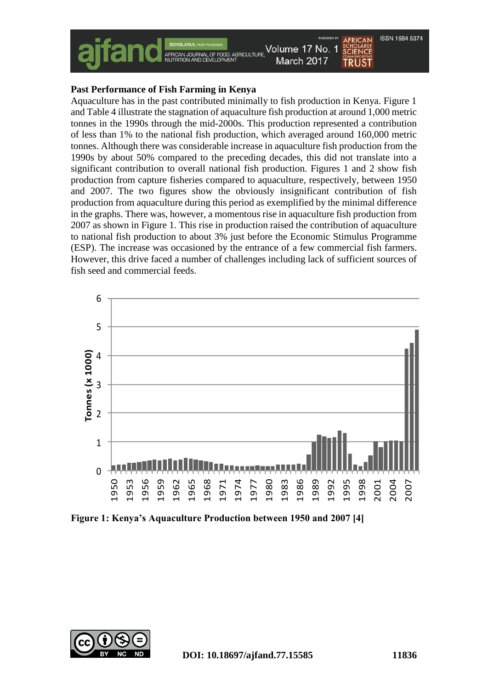

#### **Past Performance of Fish Farming in Kenya**

Aquaculture has in the past contributed minimally to fish production in Kenya. Figure 1 and Table 4 illustrate the stagnation of aquaculture fish production at around 1,000 metric tonnes in the 1990s through the mid-2000s. This production represented a contribution of less than 1% to the national fish production, which averaged around 160,000 metric tonnes. Although there was considerable increase in aquaculture fish production from the 1990s by about 50% compared to the preceding decades, this did not translate into a significant contribution to overall national fish production. Figures 1 and 2 show fish production from capture fisheries compared to aquaculture, respectively, between 1950 and 2007. The two figures show the obviously insignificant contribution of fish production from aquaculture during this period as exemplified by the minimal difference in the graphs. There was, however, a momentous rise in aquaculture fish production from 2007 as shown in Figure 1. This rise in production raised the contribution of aquaculture to national fish production to about 3% just before the Economic Stimulus Programme (ESP). The increase was occasioned by the entrance of a few commercial fish farmers. However, this drive faced a number of challenges including lack of sufficient sources of fish seed and commercial feeds.



**Figure 1: Kenya's Aquaculture Production between 1950 and 2007 [4]**

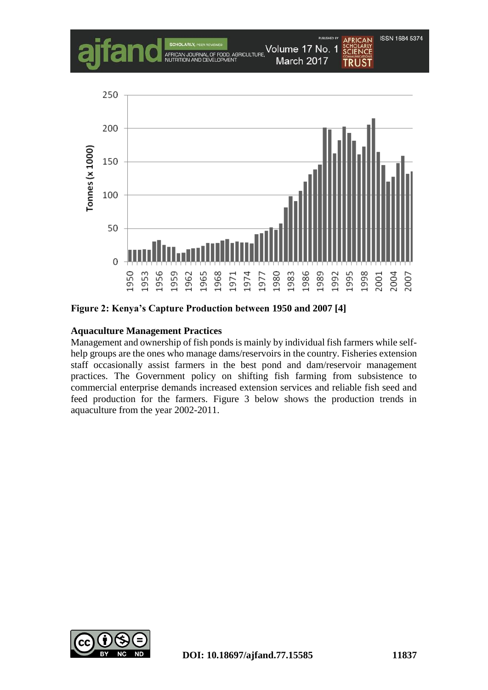

**Figure 2: Kenya's Capture Production between 1950 and 2007 [4]**

## **Aquaculture Management Practices**

Management and ownership of fish ponds is mainly by individual fish farmers while selfhelp groups are the ones who manage dams/reservoirs in the country. Fisheries extension staff occasionally assist farmers in the best pond and dam/reservoir management practices. The Government policy on shifting fish farming from subsistence to commercial enterprise demands increased extension services and reliable fish seed and feed production for the farmers. Figure 3 below shows the production trends in aquaculture from the year 2002-2011.

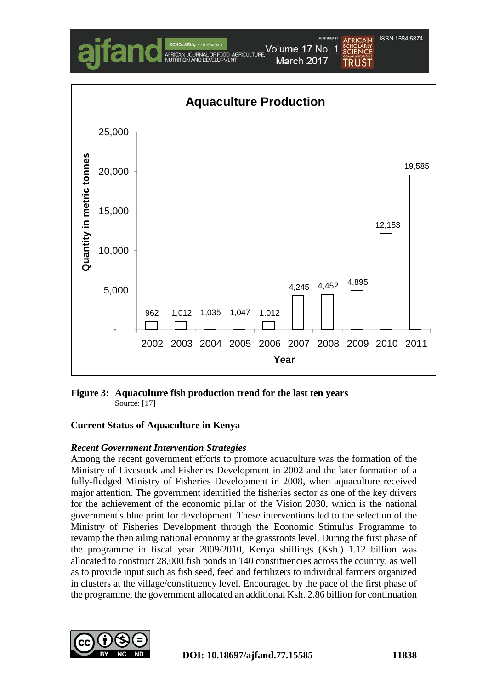

**Figure 3: Aquaculture fish production trend for the last ten years** Source: [17]

## **Current Status of Aquaculture in Kenya**

#### *Recent Government Intervention Strategies*

Among the recent government efforts to promote aquaculture was the formation of the Ministry of Livestock and Fisheries Development in 2002 and the later formation of a fully-fledged Ministry of Fisheries Development in 2008, when aquaculture received major attention. The government identified the fisheries sector as one of the key drivers for the achievement of the economic pillar of the Vision 2030, which is the national government' s blue print for development. These interventions led to the selection of the Ministry of Fisheries Development through the Economic Stimulus Programme to revamp the then ailing national economy at the grassroots level. During the first phase of the programme in fiscal year 2009/2010, Kenya shillings (Ksh.) 1.12 billion was allocated to construct 28,000 fish ponds in 140 constituencies across the country, as well as to provide input such as fish seed, feed and fertilizers to individual farmers organized in clusters at the village/constituency level. Encouraged by the pace of the first phase of the programme, the government allocated an additional Ksh. 2.86 billion for continuation

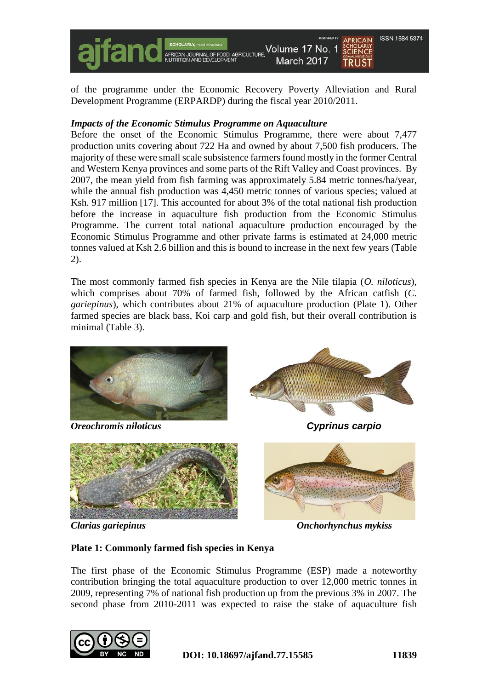

of the programme under the Economic Recovery Poverty Alleviation and Rural Development Programme (ERPARDP) during the fiscal year 2010/2011.

#### *Impacts of the Economic Stimulus Programme on Aquaculture*

Before the onset of the Economic Stimulus Programme, there were about 7,477 production units covering about 722 Ha and owned by about 7,500 fish producers. The majority of these were small scale subsistence farmers found mostly in the former Central and Western Kenya provinces and some parts of the Rift Valley and Coast provinces. By 2007, the mean yield from fish farming was approximately 5.84 metric tonnes/ha/year, while the annual fish production was 4,450 metric tonnes of various species; valued at Ksh. 917 million [17]. This accounted for about 3% of the total national fish production before the increase in aquaculture fish production from the Economic Stimulus Programme. The current total national aquaculture production encouraged by the Economic Stimulus Programme and other private farms is estimated at 24,000 metric tonnes valued at Ksh 2.6 billion and this is bound to increase in the next few years (Table 2).

The most commonly farmed fish species in Kenya are the Nile tilapia (*O. niloticus*), which comprises about 70% of farmed fish, followed by the African catfish (*C. gariepinus*), which contributes about 21% of aquaculture production (Plate 1). Other farmed species are black bass, Koi carp and gold fish, but their overall contribution is minimal (Table 3).



*Oreochromis niloticus Cyprinus carpio*







*Clarias gariepinus Onchorhynchus mykiss*

## **Plate 1: Commonly farmed fish species in Kenya**

The first phase of the Economic Stimulus Programme (ESP) made a noteworthy contribution bringing the total aquaculture production to over 12,000 metric tonnes in 2009, representing 7% of national fish production up from the previous 3% in 2007. The second phase from 2010-2011 was expected to raise the stake of aquaculture fish

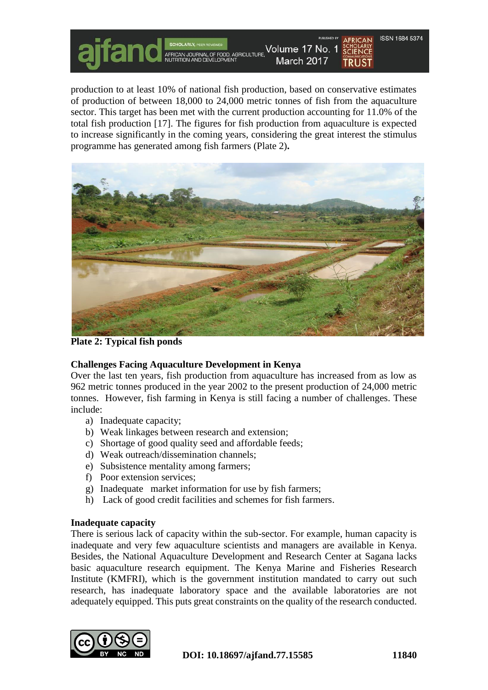**COD, AGRICULTURE** 

Volume 17 No. 1 March 2017 **TRUST** 

**ISSN 1684 5374** 

production to at least 10% of national fish production, based on conservative estimates of production of between 18,000 to 24,000 metric tonnes of fish from the aquaculture sector. This target has been met with the current production accounting for 11.0% of the total fish production [17]. The figures for fish production from aquaculture is expected to increase significantly in the coming years, considering the great interest the stimulus programme has generated among fish farmers (Plate 2)**.**



**Plate 2: Typical fish ponds**

# **Challenges Facing Aquaculture Development in Kenya**

Over the last ten years, fish production from aquaculture has increased from as low as 962 metric tonnes produced in the year 2002 to the present production of 24,000 metric tonnes. However, fish farming in Kenya is still facing a number of challenges. These include:

- a) Inadequate capacity;
- b) Weak linkages between research and extension;
- c) Shortage of good quality seed and affordable feeds;
- d) Weak outreach/dissemination channels;
- e) Subsistence mentality among farmers;
- f) Poor extension services;
- g) Inadequate market information for use by fish farmers;
- h) Lack of good credit facilities and schemes for fish farmers.

## **Inadequate capacity**

There is serious lack of capacity within the sub-sector. For example, human capacity is inadequate and very few aquaculture scientists and managers are available in Kenya. Besides, the National Aquaculture Development and Research Center at Sagana lacks basic aquaculture research equipment. The Kenya Marine and Fisheries Research Institute (KMFRI), which is the government institution mandated to carry out such research, has inadequate laboratory space and the available laboratories are not adequately equipped. This puts great constraints on the quality of the research conducted.

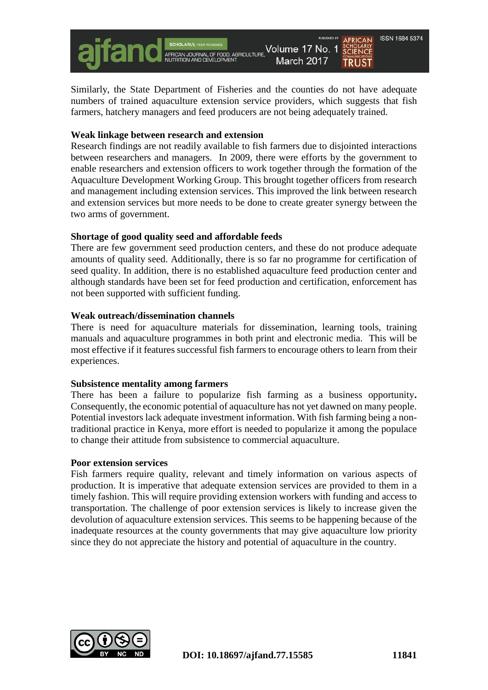Volume 17 No. 1 **FOOD, AGRICULTURE,** 

Similarly, the State Department of Fisheries and the counties do not have adequate numbers of trained aquaculture extension service providers, which suggests that fish farmers, hatchery managers and feed producers are not being adequately trained.

March 2017

#### **Weak linkage between research and extension**

Research findings are not readily available to fish farmers due to disjointed interactions between researchers and managers. In 2009, there were efforts by the government to enable researchers and extension officers to work together through the formation of the Aquaculture Development Working Group. This brought together officers from research and management including extension services. This improved the link between research and extension services but more needs to be done to create greater synergy between the two arms of government.

#### **Shortage of good quality seed and affordable feeds**

There are few government seed production centers, and these do not produce adequate amounts of quality seed. Additionally, there is so far no programme for certification of seed quality. In addition, there is no established aquaculture feed production center and although standards have been set for feed production and certification, enforcement has not been supported with sufficient funding.

#### **Weak outreach/dissemination channels**

There is need for aquaculture materials for dissemination, learning tools, training manuals and aquaculture programmes in both print and electronic media. This will be most effective if it features successful fish farmers to encourage others to learn from their experiences.

#### **Subsistence mentality among farmers**

There has been a failure to popularize fish farming as a business opportunity**.**  Consequently, the economic potential of aquaculture has not yet dawned on many people. Potential investors lack adequate investment information. With fish farming being a nontraditional practice in Kenya, more effort is needed to popularize it among the populace to change their attitude from subsistence to commercial aquaculture.

#### **Poor extension services**

Fish farmers require quality, relevant and timely information on various aspects of production. It is imperative that adequate extension services are provided to them in a timely fashion. This will require providing extension workers with funding and access to transportation. The challenge of poor extension services is likely to increase given the devolution of aquaculture extension services. This seems to be happening because of the inadequate resources at the county governments that may give aquaculture low priority since they do not appreciate the history and potential of aquaculture in the country.



ISSN 1684 5374

TRUST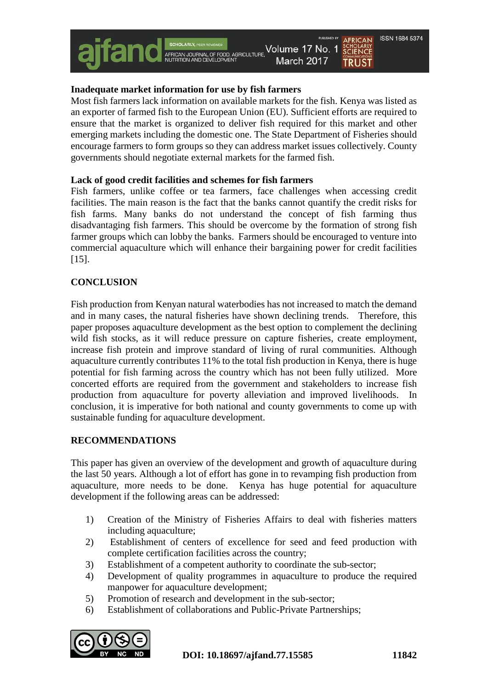## **Inadequate market information for use by fish farmers**

Most fish farmers lack information on available markets for the fish. Kenya was listed as an exporter of farmed fish to the European Union (EU). Sufficient efforts are required to ensure that the market is organized to deliver fish required for this market and other emerging markets including the domestic one. The State Department of Fisheries should encourage farmers to form groups so they can address market issues collectively. County governments should negotiate external markets for the farmed fish.

#### **Lack of good credit facilities and schemes for fish farmers**

Fish farmers, unlike coffee or tea farmers, face challenges when accessing credit facilities. The main reason is the fact that the banks cannot quantify the credit risks for fish farms. Many banks do not understand the concept of fish farming thus disadvantaging fish farmers. This should be overcome by the formation of strong fish farmer groups which can lobby the banks. Farmers should be encouraged to venture into commercial aquaculture which will enhance their bargaining power for credit facilities [15].

## **CONCLUSION**

Fish production from Kenyan natural waterbodies has not increased to match the demand and in many cases, the natural fisheries have shown declining trends. Therefore, this paper proposes aquaculture development as the best option to complement the declining wild fish stocks, as it will reduce pressure on capture fisheries, create employment, increase fish protein and improve standard of living of rural communities. Although aquaculture currently contributes 11% to the total fish production in Kenya, there is huge potential for fish farming across the country which has not been fully utilized. More concerted efforts are required from the government and stakeholders to increase fish production from aquaculture for poverty alleviation and improved livelihoods. In conclusion, it is imperative for both national and county governments to come up with sustainable funding for aquaculture development.

## **RECOMMENDATIONS**

This paper has given an overview of the development and growth of aquaculture during the last 50 years. Although a lot of effort has gone in to revamping fish production from aquaculture, more needs to be done. Kenya has huge potential for aquaculture development if the following areas can be addressed:

- 1) Creation of the Ministry of Fisheries Affairs to deal with fisheries matters including aquaculture;
- 2) Establishment of centers of excellence for seed and feed production with complete certification facilities across the country;
- 3) Establishment of a competent authority to coordinate the sub-sector;
- 4) Development of quality programmes in aquaculture to produce the required manpower for aquaculture development;
- 5) Promotion of research and development in the sub-sector;
- 6) Establishment of collaborations and Public-Private Partnerships;

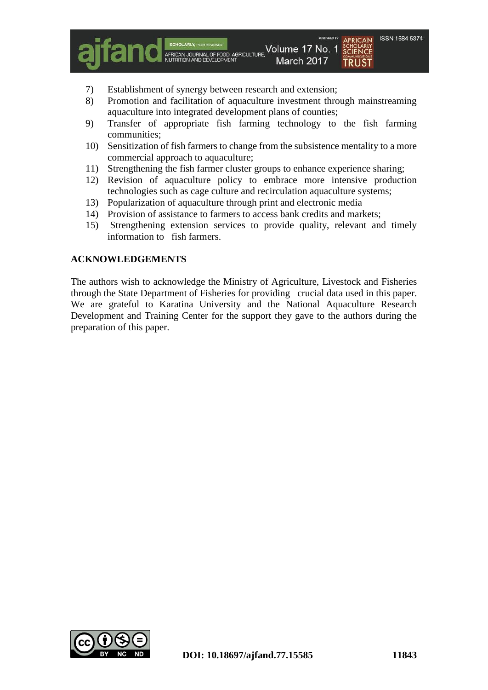SCHULARLI<br>SCIFNCF

**TRUST** 

7) Establishment of synergy between research and extension;

AFRICAN JOURNAL OF FOOD, AGRICULTURE,<br>NUTRITION AND DEVELOPMENT

8) Promotion and facilitation of aquaculture investment through mainstreaming aquaculture into integrated development plans of counties;

Volume 17 No. 1

March 2017

- 9) Transfer of appropriate fish farming technology to the fish farming communities;
- 10) Sensitization of fish farmers to change from the subsistence mentality to a more commercial approach to aquaculture;
- 11) Strengthening the fish farmer cluster groups to enhance experience sharing;
- 12) Revision of aquaculture policy to embrace more intensive production technologies such as cage culture and recirculation aquaculture systems;
- 13) Popularization of aquaculture through print and electronic media
- 14) Provision of assistance to farmers to access bank credits and markets;
- 15) Strengthening extension services to provide quality, relevant and timely information to fish farmers.

#### **ACKNOWLEDGEMENTS**

The authors wish to acknowledge the Ministry of Agriculture, Livestock and Fisheries through the State Department of Fisheries for providing crucial data used in this paper. We are grateful to Karatina University and the National Aquaculture Research Development and Training Center for the support they gave to the authors during the preparation of this paper.

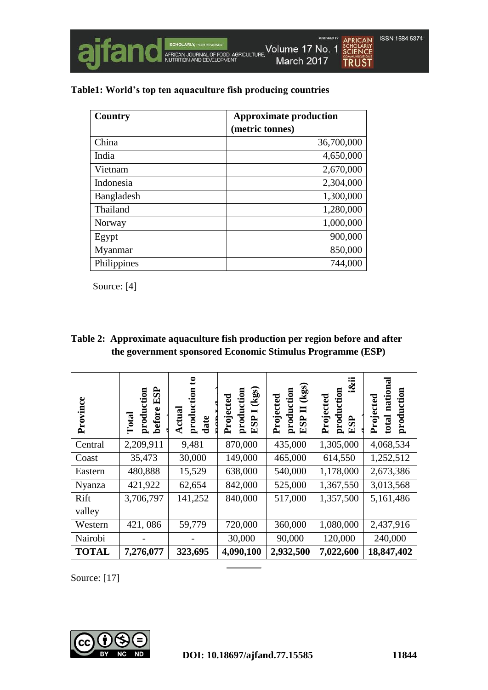

|  |  | Table1: World's top ten aquaculture fish producing countries |
|--|--|--------------------------------------------------------------|
|  |  |                                                              |

| Country     | <b>Approximate production</b> |
|-------------|-------------------------------|
|             | (metric tonnes)               |
| China       | 36,700,000                    |
| India       | 4,650,000                     |
| Vietnam     | 2,670,000                     |
| Indonesia   | 2,304,000                     |
| Bangladesh  | 1,300,000                     |
| Thailand    | 1,280,000                     |
| Norway      | 1,000,000                     |
| Egypt       | 900,000                       |
| Myanmar     | 850,000                       |
| Philippines | 744,000                       |

Source: [4]

| Table 2: Approximate aquaculture fish production per region before and after |
|------------------------------------------------------------------------------|
| the government sponsored Economic Stimulus Programme (ESP)                   |

| Province     | ESP<br>production<br>before<br>Total | $\mathbf{c}$<br>production<br>date<br>Actual | $\left(kgs\right)$<br>production<br>Projected<br>$\blacksquare$<br>ESP <sup>1</sup> | $\left(\mathrm{kg}\mathrm{s}\right)$<br>production<br>Projected<br><b>ESP II</b> | iⅈ<br>production<br>Projected<br>ESP | national<br>production<br>Projected<br>total |
|--------------|--------------------------------------|----------------------------------------------|-------------------------------------------------------------------------------------|----------------------------------------------------------------------------------|--------------------------------------|----------------------------------------------|
| Central      | 2,209,911                            | 9,481                                        | 870,000                                                                             | 435,000                                                                          | 1,305,000                            | 4,068,534                                    |
| Coast        | 35,473                               | 30,000                                       | 149,000                                                                             | 465,000                                                                          | 614,550                              | 1,252,512                                    |
| Eastern      | 480,888                              | 15,529                                       | 638,000                                                                             | 540,000                                                                          | 1,178,000                            | 2,673,386                                    |
| Nyanza       | 421,922                              | 62,654                                       | 842,000                                                                             | 525,000                                                                          | 1,367,550                            | 3,013,568                                    |
| Rift         | 3,706,797                            | 141,252                                      | 840,000                                                                             | 517,000                                                                          | 1,357,500                            | 5,161,486                                    |
| valley       |                                      |                                              |                                                                                     |                                                                                  |                                      |                                              |
| Western      | 421,086                              | 59,779                                       | 720,000                                                                             | 360,000                                                                          | 1,080,000                            | 2,437,916                                    |
| Nairobi      |                                      |                                              | 30,000                                                                              | 90,000                                                                           | 120,000                              | 240,000                                      |
| <b>TOTAL</b> | 7,276,077                            | 323,695                                      | 4,090,100                                                                           | 2,932,500                                                                        | 7,022,600                            | 18,847,402                                   |

Source: [17]

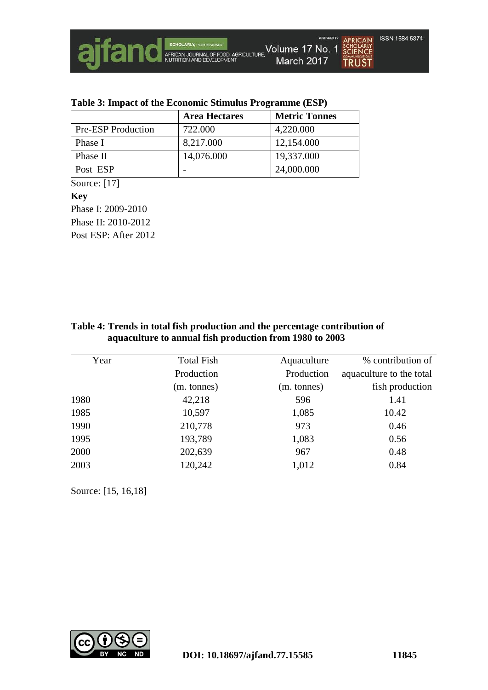

|                           | <b>Area Hectares</b> | <b>Metric Tonnes</b> |
|---------------------------|----------------------|----------------------|
| <b>Pre-ESP</b> Production | 722.000              | 4,220.000            |
| Phase I                   | 8,217.000            | 12,154.000           |
| Phase II                  | 14,076.000           | 19,337.000           |
| Post ESP                  |                      | 24,000.000           |

Source: [17]

**Key**

Phase I: 2009-2010 Phase II: 2010-2012 Post ESP: After 2012

| Table 4: Trends in total fish production and the percentage contribution of |  |  |  |  |
|-----------------------------------------------------------------------------|--|--|--|--|
| aquaculture to annual fish production from 1980 to 2003                     |  |  |  |  |

| Year | <b>Total Fish</b> | Aquaculture | % contribution of        |
|------|-------------------|-------------|--------------------------|
|      | Production        | Production  | aquaculture to the total |
|      | (m. tonnes)       | (m. tonnes) | fish production          |
| 1980 | 42,218            | 596         | 1.41                     |
| 1985 | 10,597            | 1,085       | 10.42                    |
| 1990 | 210,778           | 973         | 0.46                     |
| 1995 | 193,789           | 1,083       | 0.56                     |
| 2000 | 202,639           | 967         | 0.48                     |
| 2003 | 120,242           | 1,012       | 0.84                     |

Source: [15, 16,18]

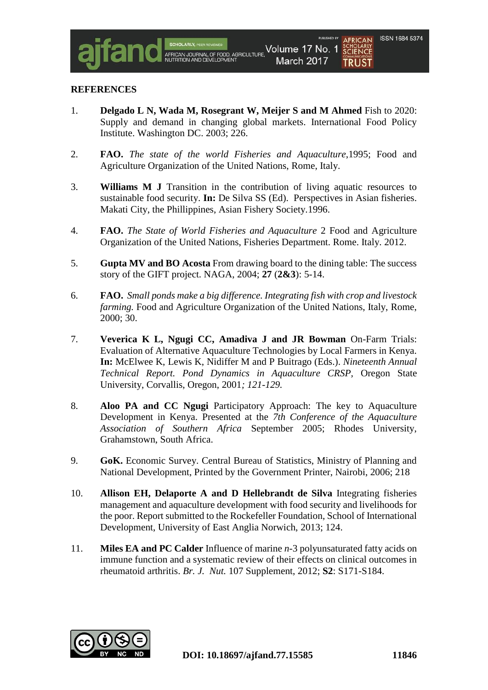SCHOLARLY<br>**SCIENCE** 

TRUST

1. **Delgado L N, Wada M, Rosegrant W, Meijer S and M Ahmed** Fish to 2020: Supply and demand in changing global markets. International Food Policy Institute. Washington DC. 2003; 226.

FOOD, AGRICULTURE

Volume 17 No. 1

March 2017

- 2. **FAO.** *The state of the world Fisheries and Aquaculture*,1995; Food and Agriculture Organization of the United Nations, Rome, Italy.
- 3. **Williams M J** Transition in the contribution of living aquatic resources to sustainable food security. **In:** De Silva SS (Ed). Perspectives in Asian fisheries. Makati City, the Phillippines, Asian Fishery Society.1996.
- 4. **FAO.** *The State of World Fisheries and Aquaculture* 2 Food and Agriculture Organization of the United Nations, Fisheries Department. Rome. Italy. 2012.
- 5. **Gupta MV and BO Acosta** From drawing board to the dining table: The success story of the GIFT project. NAGA, 2004; **27** (**2&3**): 5-14.
- 6. **FAO.** *Small ponds make a big difference. Integrating fish with crop and livestock farming.* Food and Agriculture Organization of the United Nations, Italy, Rome, 2000; 30.
- 7. **Veverica K L, Ngugi CC, Amadiva J and JR Bowman** On-Farm Trials: Evaluation of Alternative Aquaculture Technologies by Local Farmers in Kenya. **In:** McElwee K, Lewis K, Nidiffer M and P Buitrago (Eds.). *Nineteenth Annual Technical Report. Pond Dynamics in Aquaculture CRSP,* Oregon State University, Corvallis, Oregon, 2001*; 121-129.*
- 8. **Aloo PA and CC Ngugi** Participatory Approach: The key to Aquaculture Development in Kenya. Presented at the *7th Conference of the Aquaculture Association of Southern Africa* September 2005; Rhodes University, Grahamstown, South Africa.
- 9. **GoK.** Economic Survey. Central Bureau of Statistics, Ministry of Planning and National Development, Printed by the Government Printer, Nairobi, 2006; 218
- 10. **Allison EH, Delaporte A and D Hellebrandt de Silva** Integrating fisheries management and aquaculture development with food security and livelihoods for the poor. Report submitted to the Rockefeller Foundation, School of International Development, University of East Anglia Norwich, 2013; 124.
- 11. **Miles EA and PC Calder** Influence of marine *n*-3 polyunsaturated fatty acids on immune function and a systematic review of their effects on clinical outcomes in rheumatoid arthritis. *Br. J. Nut.* 107 Supplement, 2012; **S2**: S171-S184.